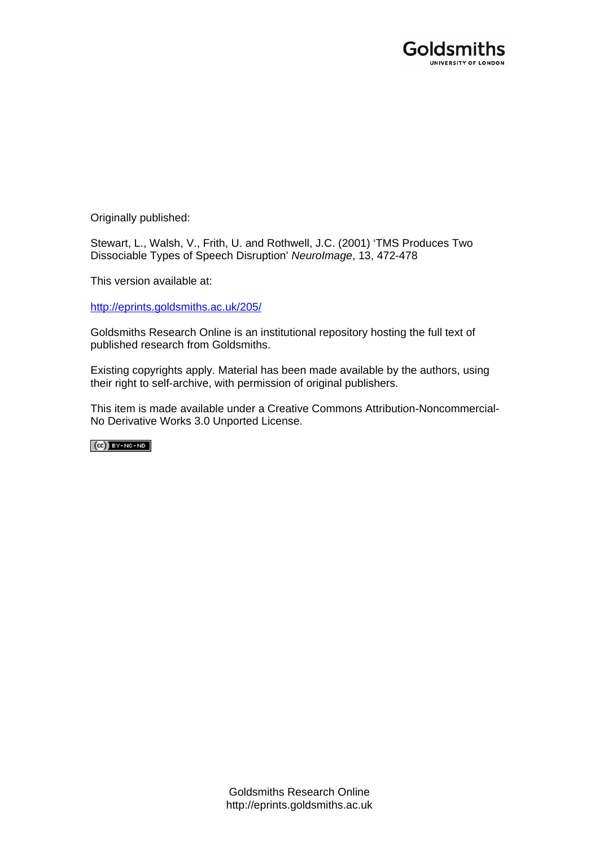

Originally published:

Stewart, L., Walsh, V., Frith, U. and Rothwell, J.C. (2001) 'TMS Produces Two Dissociable Types of Speech Disruption' *NeuroImage*, 13, 472-478

This version available at:

[http://eprints.goldsmiths.ac.uk/205/](http://eprints.goldsmiths.ac.uk/211/)

Goldsmiths Research Online is an institutional repository hosting the full text of published research from Goldsmiths.

Existing copyrights apply. Material has been made available by the authors, using their right to self-archive, with permission of original publishers.

This item is made available under a Creative Commons Attribution-Noncommercial-No Derivative Works 3.0 Unported License.

 $(c)$  BY-NC-ND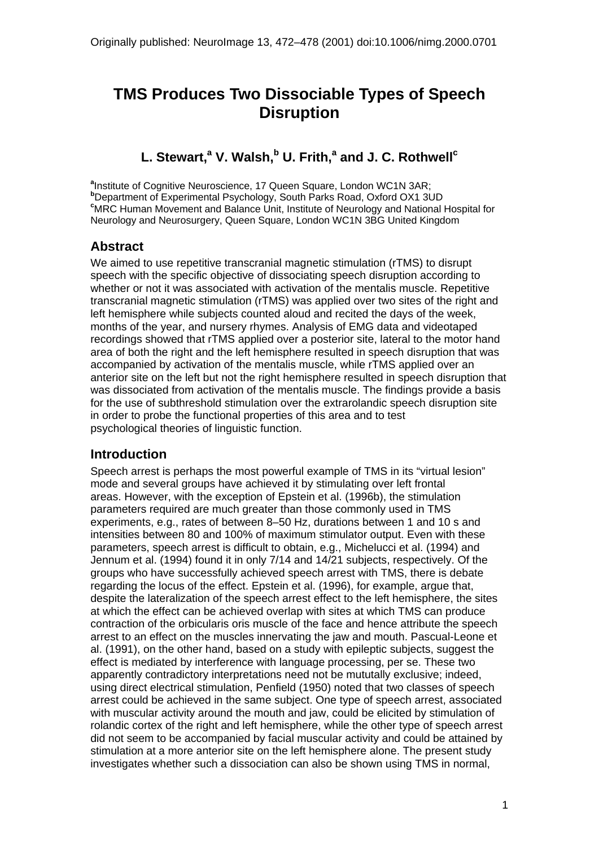# **TMS Produces Two Dissociable Types of Speech Disruption**

# L. Stewart,<sup>a</sup> V. Walsh,<sup>b</sup> U. Frith,<sup>a</sup> and J. C. Rothwell<sup>c</sup>

<sup>a</sup>lnstitute of Cognitive Neuroscience, 17 Queen Square, London WC1N 3AR;<br>**b**Department of Evenrimental Revelations, South Rarke Read, Oxford OX1.31 Department of Experimental Psychology, South Parks Road, Oxford OX1 3UD **<sup>c</sup>** <sup>c</sup>MRC Human Movement and Balance Unit, Institute of Neurology and National Hospital for Neurology and Neurosurgery, Queen Square, London WC1N 3BG United Kingdom

# **Abstract**

We aimed to use repetitive transcranial magnetic stimulation (rTMS) to disrupt speech with the specific objective of dissociating speech disruption according to whether or not it was associated with activation of the mentalis muscle. Repetitive transcranial magnetic stimulation (rTMS) was applied over two sites of the right and left hemisphere while subjects counted aloud and recited the days of the week, months of the year, and nursery rhymes. Analysis of EMG data and videotaped recordings showed that rTMS applied over a posterior site, lateral to the motor hand area of both the right and the left hemisphere resulted in speech disruption that was accompanied by activation of the mentalis muscle, while rTMS applied over an anterior site on the left but not the right hemisphere resulted in speech disruption that was dissociated from activation of the mentalis muscle. The findings provide a basis for the use of subthreshold stimulation over the extrarolandic speech disruption site in order to probe the functional properties of this area and to test psychological theories of linguistic function.

# **Introduction**

Speech arrest is perhaps the most powerful example of TMS in its "virtual lesion" mode and several groups have achieved it by stimulating over left frontal areas. However, with the exception of Epstein et al. (1996b), the stimulation parameters required are much greater than those commonly used in TMS experiments, e.g., rates of between 8–50 Hz, durations between 1 and 10 s and intensities between 80 and 100% of maximum stimulator output. Even with these parameters, speech arrest is difficult to obtain, e.g., Michelucci et al. (1994) and Jennum et al. (1994) found it in only 7/14 and 14/21 subjects, respectively. Of the groups who have successfully achieved speech arrest with TMS, there is debate regarding the locus of the effect. Epstein et al. (1996), for example, argue that, despite the lateralization of the speech arrest effect to the left hemisphere, the sites at which the effect can be achieved overlap with sites at which TMS can produce contraction of the orbicularis oris muscle of the face and hence attribute the speech arrest to an effect on the muscles innervating the jaw and mouth. Pascual-Leone et al. (1991), on the other hand, based on a study with epileptic subjects, suggest the effect is mediated by interference with language processing, per se. These two apparently contradictory interpretations need not be mututally exclusive; indeed, using direct electrical stimulation, Penfield (1950) noted that two classes of speech arrest could be achieved in the same subject. One type of speech arrest, associated with muscular activity around the mouth and jaw, could be elicited by stimulation of rolandic cortex of the right and left hemisphere, while the other type of speech arrest did not seem to be accompanied by facial muscular activity and could be attained by stimulation at a more anterior site on the left hemisphere alone. The present study investigates whether such a dissociation can also be shown using TMS in normal,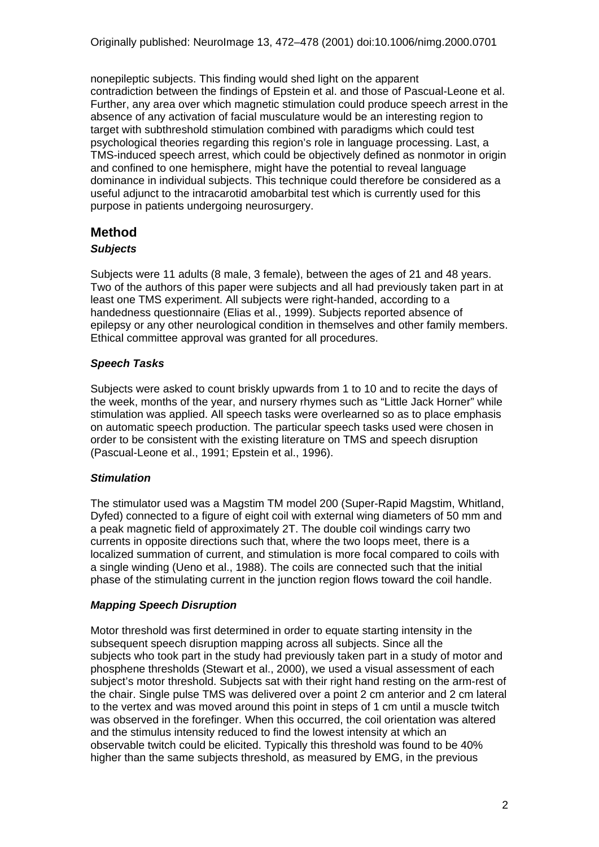nonepileptic subjects. This finding would shed light on the apparent contradiction between the findings of Epstein et al. and those of Pascual-Leone et al. Further, any area over which magnetic stimulation could produce speech arrest in the absence of any activation of facial musculature would be an interesting region to target with subthreshold stimulation combined with paradigms which could test psychological theories regarding this region's role in language processing. Last, a TMS-induced speech arrest, which could be objectively defined as nonmotor in origin and confined to one hemisphere, might have the potential to reveal language dominance in individual subjects. This technique could therefore be considered as a useful adjunct to the intracarotid amobarbital test which is currently used for this purpose in patients undergoing neurosurgery.

## **Method**

#### *Subjects*

Subjects were 11 adults (8 male, 3 female), between the ages of 21 and 48 years. Two of the authors of this paper were subjects and all had previously taken part in at least one TMS experiment. All subjects were right-handed, according to a handedness questionnaire (Elias et al., 1999). Subjects reported absence of epilepsy or any other neurological condition in themselves and other family members. Ethical committee approval was granted for all procedures.

#### *Speech Tasks*

Subjects were asked to count briskly upwards from 1 to 10 and to recite the days of the week, months of the year, and nursery rhymes such as "Little Jack Horner" while stimulation was applied. All speech tasks were overlearned so as to place emphasis on automatic speech production. The particular speech tasks used were chosen in order to be consistent with the existing literature on TMS and speech disruption (Pascual-Leone et al., 1991; Epstein et al., 1996).

#### *Stimulation*

The stimulator used was a Magstim TM model 200 (Super-Rapid Magstim, Whitland, Dyfed) connected to a figure of eight coil with external wing diameters of 50 mm and a peak magnetic field of approximately 2T. The double coil windings carry two currents in opposite directions such that, where the two loops meet, there is a localized summation of current, and stimulation is more focal compared to coils with a single winding (Ueno et al., 1988). The coils are connected such that the initial phase of the stimulating current in the junction region flows toward the coil handle.

#### *Mapping Speech Disruption*

Motor threshold was first determined in order to equate starting intensity in the subsequent speech disruption mapping across all subjects. Since all the subjects who took part in the study had previously taken part in a study of motor and phosphene thresholds (Stewart et al., 2000), we used a visual assessment of each subject's motor threshold. Subjects sat with their right hand resting on the arm-rest of the chair. Single pulse TMS was delivered over a point 2 cm anterior and 2 cm lateral to the vertex and was moved around this point in steps of 1 cm until a muscle twitch was observed in the forefinger. When this occurred, the coil orientation was altered and the stimulus intensity reduced to find the lowest intensity at which an observable twitch could be elicited. Typically this threshold was found to be 40% higher than the same subjects threshold, as measured by EMG, in the previous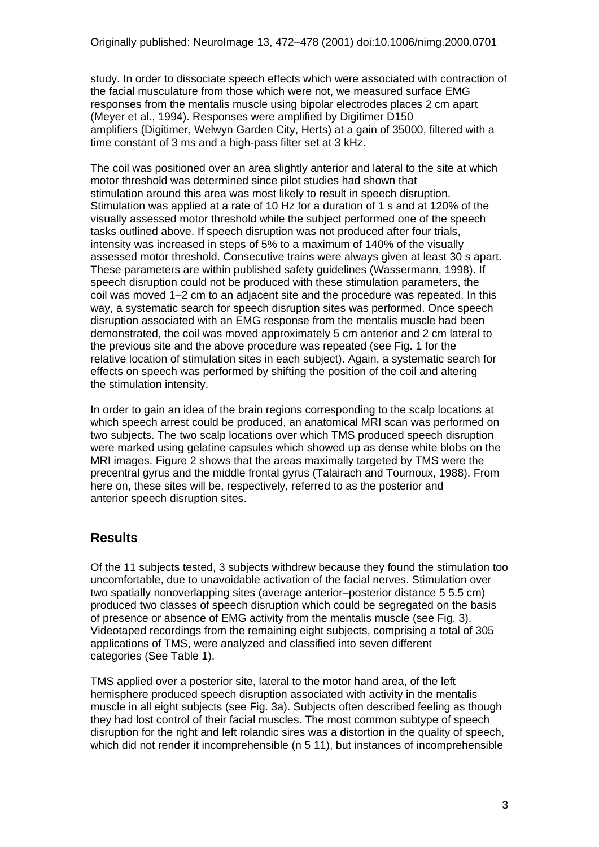study. In order to dissociate speech effects which were associated with contraction of the facial musculature from those which were not, we measured surface EMG responses from the mentalis muscle using bipolar electrodes places 2 cm apart (Meyer et al., 1994). Responses were amplified by Digitimer D150 amplifiers (Digitimer, Welwyn Garden City, Herts) at a gain of 35000, filtered with a time constant of 3 ms and a high-pass filter set at 3 kHz.

The coil was positioned over an area slightly anterior and lateral to the site at which motor threshold was determined since pilot studies had shown that stimulation around this area was most likely to result in speech disruption. Stimulation was applied at a rate of 10 Hz for a duration of 1 s and at 120% of the visually assessed motor threshold while the subject performed one of the speech tasks outlined above. If speech disruption was not produced after four trials, intensity was increased in steps of 5% to a maximum of 140% of the visually assessed motor threshold. Consecutive trains were always given at least 30 s apart. These parameters are within published safety guidelines (Wassermann, 1998). If speech disruption could not be produced with these stimulation parameters, the coil was moved 1–2 cm to an adjacent site and the procedure was repeated. In this way, a systematic search for speech disruption sites was performed. Once speech disruption associated with an EMG response from the mentalis muscle had been demonstrated, the coil was moved approximately 5 cm anterior and 2 cm lateral to the previous site and the above procedure was repeated (see Fig. 1 for the relative location of stimulation sites in each subject). Again, a systematic search for effects on speech was performed by shifting the position of the coil and altering the stimulation intensity.

In order to gain an idea of the brain regions corresponding to the scalp locations at which speech arrest could be produced, an anatomical MRI scan was performed on two subjects. The two scalp locations over which TMS produced speech disruption were marked using gelatine capsules which showed up as dense white blobs on the MRI images. Figure 2 shows that the areas maximally targeted by TMS were the precentral gyrus and the middle frontal gyrus (Talairach and Tournoux, 1988). From here on, these sites will be, respectively, referred to as the posterior and anterior speech disruption sites.

# **Results**

Of the 11 subjects tested, 3 subjects withdrew because they found the stimulation too uncomfortable, due to unavoidable activation of the facial nerves. Stimulation over two spatially nonoverlapping sites (average anterior–posterior distance 5 5.5 cm) produced two classes of speech disruption which could be segregated on the basis of presence or absence of EMG activity from the mentalis muscle (see Fig. 3). Videotaped recordings from the remaining eight subjects, comprising a total of 305 applications of TMS, were analyzed and classified into seven different categories (See Table 1).

TMS applied over a posterior site, lateral to the motor hand area, of the left hemisphere produced speech disruption associated with activity in the mentalis muscle in all eight subjects (see Fig. 3a). Subjects often described feeling as though they had lost control of their facial muscles. The most common subtype of speech disruption for the right and left rolandic sires was a distortion in the quality of speech, which did not render it incomprehensible (n 5 11), but instances of incomprehensible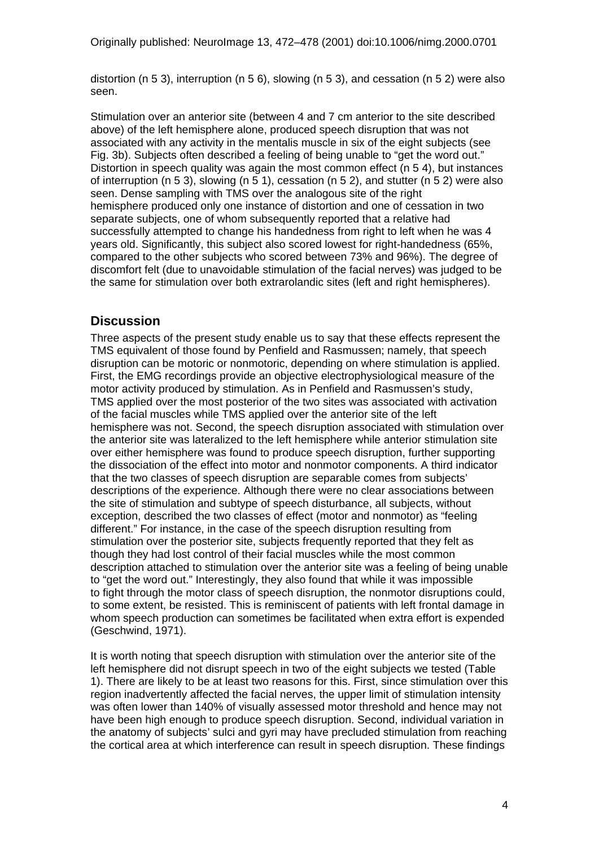distortion (n 5 3), interruption (n 5 6), slowing (n 5 3), and cessation (n 5 2) were also seen.

Stimulation over an anterior site (between 4 and 7 cm anterior to the site described above) of the left hemisphere alone, produced speech disruption that was not associated with any activity in the mentalis muscle in six of the eight subjects (see Fig. 3b). Subjects often described a feeling of being unable to "get the word out." Distortion in speech quality was again the most common effect (n 5 4), but instances of interruption (n 5 3), slowing (n 5 1), cessation (n 5 2), and stutter (n 5 2) were also seen. Dense sampling with TMS over the analogous site of the right hemisphere produced only one instance of distortion and one of cessation in two separate subjects, one of whom subsequently reported that a relative had successfully attempted to change his handedness from right to left when he was 4 years old. Significantly, this subject also scored lowest for right-handedness (65%, compared to the other subjects who scored between 73% and 96%). The degree of discomfort felt (due to unavoidable stimulation of the facial nerves) was judged to be the same for stimulation over both extrarolandic sites (left and right hemispheres).

## **Discussion**

Three aspects of the present study enable us to say that these effects represent the TMS equivalent of those found by Penfield and Rasmussen; namely, that speech disruption can be motoric or nonmotoric, depending on where stimulation is applied. First, the EMG recordings provide an objective electrophysiological measure of the motor activity produced by stimulation. As in Penfield and Rasmussen's study, TMS applied over the most posterior of the two sites was associated with activation of the facial muscles while TMS applied over the anterior site of the left hemisphere was not. Second, the speech disruption associated with stimulation over the anterior site was lateralized to the left hemisphere while anterior stimulation site over either hemisphere was found to produce speech disruption, further supporting the dissociation of the effect into motor and nonmotor components. A third indicator that the two classes of speech disruption are separable comes from subjects' descriptions of the experience. Although there were no clear associations between the site of stimulation and subtype of speech disturbance, all subjects, without exception, described the two classes of effect (motor and nonmotor) as "feeling different." For instance, in the case of the speech disruption resulting from stimulation over the posterior site, subjects frequently reported that they felt as though they had lost control of their facial muscles while the most common description attached to stimulation over the anterior site was a feeling of being unable to "get the word out." Interestingly, they also found that while it was impossible to fight through the motor class of speech disruption, the nonmotor disruptions could, to some extent, be resisted. This is reminiscent of patients with left frontal damage in whom speech production can sometimes be facilitated when extra effort is expended (Geschwind, 1971).

It is worth noting that speech disruption with stimulation over the anterior site of the left hemisphere did not disrupt speech in two of the eight subjects we tested (Table 1). There are likely to be at least two reasons for this. First, since stimulation over this region inadvertently affected the facial nerves, the upper limit of stimulation intensity was often lower than 140% of visually assessed motor threshold and hence may not have been high enough to produce speech disruption. Second, individual variation in the anatomy of subjects' sulci and gyri may have precluded stimulation from reaching the cortical area at which interference can result in speech disruption. These findings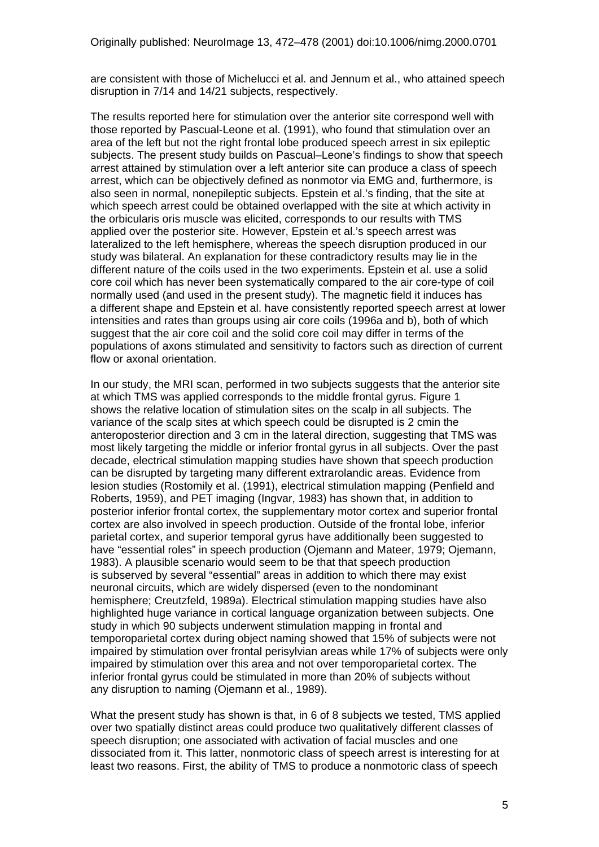are consistent with those of Michelucci et al. and Jennum et al., who attained speech disruption in 7/14 and 14/21 subjects, respectively.

The results reported here for stimulation over the anterior site correspond well with those reported by Pascual-Leone et al. (1991), who found that stimulation over an area of the left but not the right frontal lobe produced speech arrest in six epileptic subjects. The present study builds on Pascual–Leone's findings to show that speech arrest attained by stimulation over a left anterior site can produce a class of speech arrest, which can be objectively defined as nonmotor via EMG and, furthermore, is also seen in normal, nonepileptic subjects. Epstein et al.'s finding, that the site at which speech arrest could be obtained overlapped with the site at which activity in the orbicularis oris muscle was elicited, corresponds to our results with TMS applied over the posterior site. However, Epstein et al.'s speech arrest was lateralized to the left hemisphere, whereas the speech disruption produced in our study was bilateral. An explanation for these contradictory results may lie in the different nature of the coils used in the two experiments. Epstein et al. use a solid core coil which has never been systematically compared to the air core-type of coil normally used (and used in the present study). The magnetic field it induces has a different shape and Epstein et al. have consistently reported speech arrest at lower intensities and rates than groups using air core coils (1996a and b), both of which suggest that the air core coil and the solid core coil may differ in terms of the populations of axons stimulated and sensitivity to factors such as direction of current flow or axonal orientation.

In our study, the MRI scan, performed in two subjects suggests that the anterior site at which TMS was applied corresponds to the middle frontal gyrus. Figure 1 shows the relative location of stimulation sites on the scalp in all subjects. The variance of the scalp sites at which speech could be disrupted is 2 cmin the anteroposterior direction and 3 cm in the lateral direction, suggesting that TMS was most likely targeting the middle or inferior frontal gyrus in all subjects. Over the past decade, electrical stimulation mapping studies have shown that speech production can be disrupted by targeting many different extrarolandic areas. Evidence from lesion studies (Rostomily et al. (1991), electrical stimulation mapping (Penfield and Roberts, 1959), and PET imaging (Ingvar, 1983) has shown that, in addition to posterior inferior frontal cortex, the supplementary motor cortex and superior frontal cortex are also involved in speech production. Outside of the frontal lobe, inferior parietal cortex, and superior temporal gyrus have additionally been suggested to have "essential roles" in speech production (Ojemann and Mateer, 1979; Ojemann, 1983). A plausible scenario would seem to be that that speech production is subserved by several "essential" areas in addition to which there may exist neuronal circuits, which are widely dispersed (even to the nondominant hemisphere; Creutzfeld, 1989a). Electrical stimulation mapping studies have also highlighted huge variance in cortical language organization between subjects. One study in which 90 subjects underwent stimulation mapping in frontal and temporoparietal cortex during object naming showed that 15% of subjects were not impaired by stimulation over frontal perisylvian areas while 17% of subjects were only impaired by stimulation over this area and not over temporoparietal cortex. The inferior frontal gyrus could be stimulated in more than 20% of subjects without any disruption to naming (Ojemann et al., 1989).

What the present study has shown is that, in 6 of 8 subjects we tested, TMS applied over two spatially distinct areas could produce two qualitatively different classes of speech disruption; one associated with activation of facial muscles and one dissociated from it. This latter, nonmotoric class of speech arrest is interesting for at least two reasons. First, the ability of TMS to produce a nonmotoric class of speech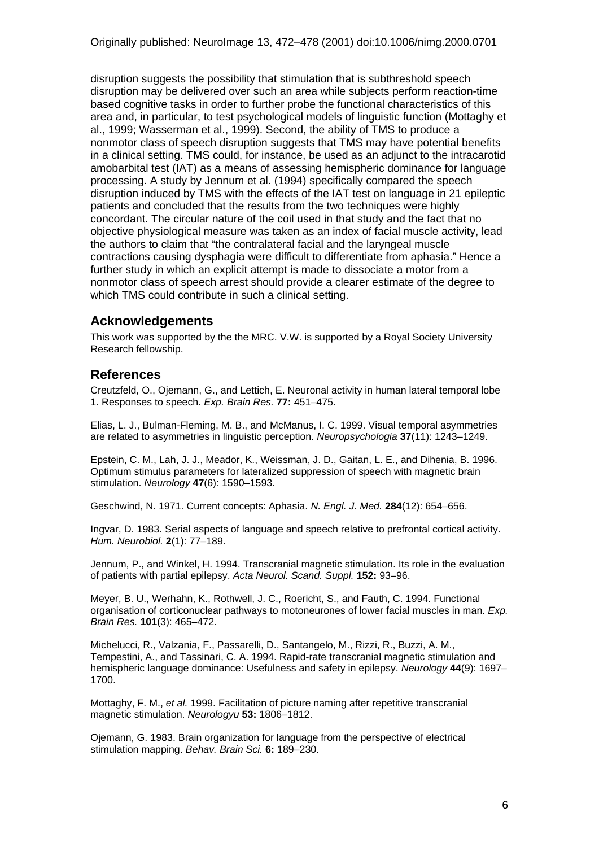disruption suggests the possibility that stimulation that is subthreshold speech disruption may be delivered over such an area while subjects perform reaction-time based cognitive tasks in order to further probe the functional characteristics of this area and, in particular, to test psychological models of linguistic function (Mottaghy et al., 1999; Wasserman et al., 1999). Second, the ability of TMS to produce a nonmotor class of speech disruption suggests that TMS may have potential benefits in a clinical setting. TMS could, for instance, be used as an adjunct to the intracarotid amobarbital test (IAT) as a means of assessing hemispheric dominance for language processing. A study by Jennum et al. (1994) specifically compared the speech disruption induced by TMS with the effects of the IAT test on language in 21 epileptic patients and concluded that the results from the two techniques were highly concordant. The circular nature of the coil used in that study and the fact that no objective physiological measure was taken as an index of facial muscle activity, lead the authors to claim that "the contralateral facial and the laryngeal muscle contractions causing dysphagia were difficult to differentiate from aphasia." Hence a further study in which an explicit attempt is made to dissociate a motor from a nonmotor class of speech arrest should provide a clearer estimate of the degree to which TMS could contribute in such a clinical setting.

## **Acknowledgements**

This work was supported by the the MRC. V.W. is supported by a Royal Society University Research fellowship.

## **References**

Creutzfeld, O., Ojemann, G., and Lettich, E. Neuronal activity in human lateral temporal lobe 1. Responses to speech. *Exp. Brain Res.* **77:** 451–475.

Elias, L. J., Bulman-Fleming, M. B., and McManus, I. C. 1999. Visual temporal asymmetries are related to asymmetries in linguistic perception. *Neuropsychologia* **37**(11): 1243–1249.

Epstein, C. M., Lah, J. J., Meador, K., Weissman, J. D., Gaitan, L. E., and Dihenia, B. 1996. Optimum stimulus parameters for lateralized suppression of speech with magnetic brain stimulation. *Neurology* **47**(6): 1590–1593.

Geschwind, N. 1971. Current concepts: Aphasia. *N. Engl. J. Med.* **284**(12): 654–656.

Ingvar, D. 1983. Serial aspects of language and speech relative to prefrontal cortical activity. *Hum. Neurobiol.* **2**(1): 77–189.

Jennum, P., and Winkel, H. 1994. Transcranial magnetic stimulation. Its role in the evaluation of patients with partial epilepsy. *Acta Neurol. Scand. Suppl.* **152:** 93–96.

Meyer, B. U., Werhahn, K., Rothwell, J. C., Roericht, S., and Fauth, C. 1994. Functional organisation of corticonuclear pathways to motoneurones of lower facial muscles in man. *Exp. Brain Res.* **101**(3): 465–472.

Michelucci, R., Valzania, F., Passarelli, D., Santangelo, M., Rizzi, R., Buzzi, A. M., Tempestini, A., and Tassinari, C. A. 1994. Rapid-rate transcranial magnetic stimulation and hemispheric language dominance: Usefulness and safety in epilepsy. *Neurology* **44**(9): 1697– 1700.

Mottaghy, F. M., *et al.* 1999. Facilitation of picture naming after repetitive transcranial magnetic stimulation. *Neurologyu* **53:** 1806–1812.

Ojemann, G. 1983. Brain organization for language from the perspective of electrical stimulation mapping. *Behav. Brain Sci.* **6:** 189–230.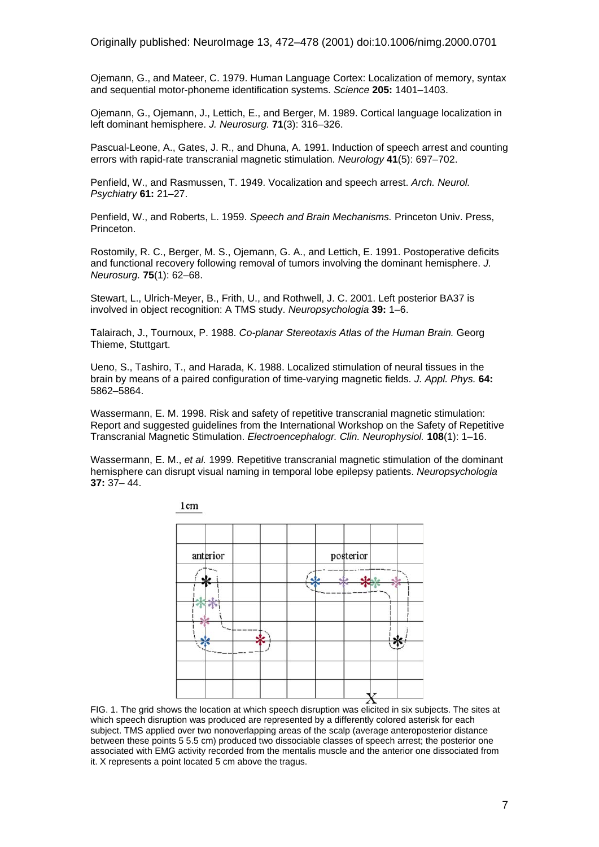Ojemann, G., and Mateer, C. 1979. Human Language Cortex: Localization of memory, syntax and sequential motor-phoneme identification systems. *Science* **205:** 1401–1403.

Ojemann, G., Ojemann, J., Lettich, E., and Berger, M. 1989. Cortical language localization in left dominant hemisphere. *J. Neurosurg.* **71**(3): 316–326.

Pascual-Leone, A., Gates, J. R., and Dhuna, A. 1991. Induction of speech arrest and counting errors with rapid-rate transcranial magnetic stimulation. *Neurology* **41**(5): 697–702.

Penfield, W., and Rasmussen, T. 1949. Vocalization and speech arrest. *Arch. Neurol. Psychiatry* **61:** 21–27.

Penfield, W., and Roberts, L. 1959. *Speech and Brain Mechanisms.* Princeton Univ. Press, Princeton.

Rostomily, R. C., Berger, M. S., Ojemann, G. A., and Lettich, E. 1991. Postoperative deficits and functional recovery following removal of tumors involving the dominant hemisphere. *J. Neurosurg.* **75**(1): 62–68.

Stewart, L., Ulrich-Meyer, B., Frith, U., and Rothwell, J. C. 2001. Left posterior BA37 is involved in object recognition: A TMS study. *Neuropsychologia* **39:** 1–6.

Talairach, J., Tournoux, P. 1988. *Co-planar Stereotaxis Atlas of the Human Brain.* Georg Thieme, Stuttgart.

Ueno, S., Tashiro, T., and Harada, K. 1988. Localized stimulation of neural tissues in the brain by means of a paired configuration of time-varying magnetic fields. *J. Appl. Phys.* **64:**  5862–5864.

Wassermann, E. M. 1998. Risk and safety of repetitive transcranial magnetic stimulation: Report and suggested guidelines from the International Workshop on the Safety of Repetitive Transcranial Magnetic Stimulation. *Electroencephalogr. Clin. Neurophysiol.* **108**(1): 1–16.

Wassermann, E. M., *et al.* 1999. Repetitive transcranial magnetic stimulation of the dominant hemisphere can disrupt visual naming in temporal lobe epilepsy patients. *Neuropsychologia*  **37:** 37– 44.

1<sub>cm</sub>



FIG. 1. The grid shows the location at which speech disruption was elicited in six subjects. The sites at which speech disruption was produced are represented by a differently colored asterisk for each subject. TMS applied over two nonoverlapping areas of the scalp (average anteroposterior distance between these points 5 5.5 cm) produced two dissociable classes of speech arrest; the posterior one associated with EMG activity recorded from the mentalis muscle and the anterior one dissociated from it. X represents a point located 5 cm above the tragus.

7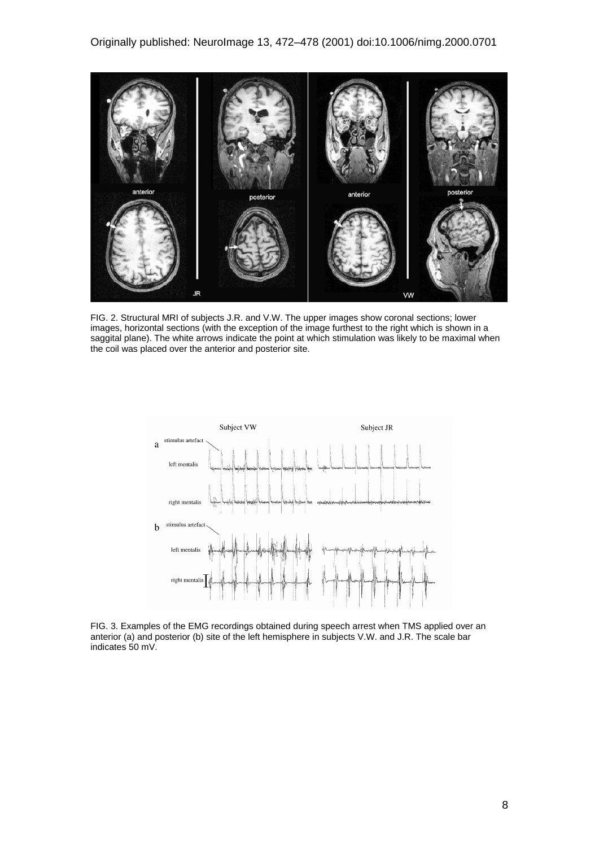

FIG. 2. Structural MRI of subjects J.R. and V.W. The upper images show coronal sections; lower images, horizontal sections (with the exception of the image furthest to the right which is shown in a saggital plane). The white arrows indicate the point at which stimulation was likely to be maximal when the coil was placed over the anterior and posterior site.



FIG. 3. Examples of the EMG recordings obtained during speech arrest when TMS applied over an anterior (a) and posterior (b) site of the left hemisphere in subjects V.W. and J.R. The scale bar indicates 50 mV.